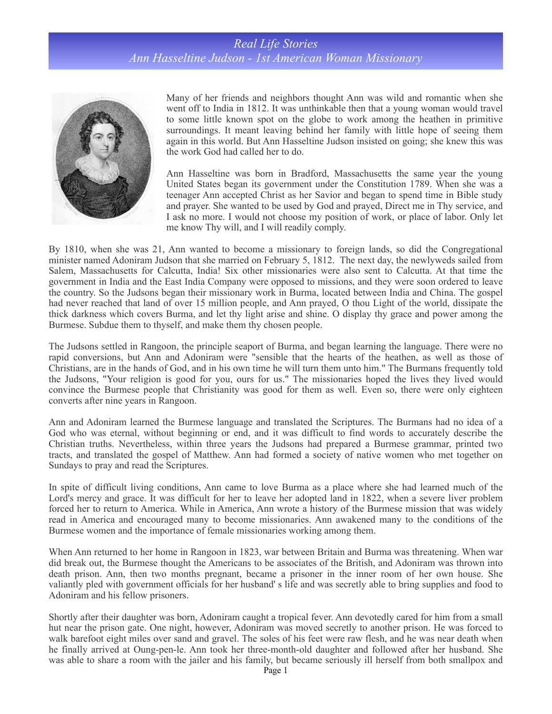## *Real Life Stories Ann Hasseltine Judson - 1st American Woman Missionary*



Many of her friends and neighbors thought Ann was wild and romantic when she went off to India in 1812. It was unthinkable then that a young woman would travel to some little known spot on the globe to work among the heathen in primitive surroundings. It meant leaving behind her family with little hope of seeing them again in this world. But Ann Hasseltine Judson insisted on going; she knew this was the work God had called her to do.

Ann Hasseltine was born in Bradford, Massachusetts the same year the young United States began its government under the Constitution 1789. When she was a teenager Ann accepted Christ as her Savior and began to spend time in Bible study and prayer. She wanted to be used by God and prayed, Direct me in Thy service, and I ask no more. I would not choose my position of work, or place of labor. Only let me know Thy will, and I will readily comply.

By 1810, when she was 21, Ann wanted to become a missionary to foreign lands, so did the Congregational minister named Adoniram Judson that she married on February 5, 1812. The next day, the newlyweds sailed from Salem, Massachusetts for Calcutta, India! Six other missionaries were also sent to Calcutta. At that time the government in India and the East India Company were opposed to missions, and they were soon ordered to leave the country. So the Judsons began their missionary work in Burma, located between India and China. The gospel had never reached that land of over 15 million people, and Ann prayed, O thou Light of the world, dissipate the thick darkness which covers Burma, and let thy light arise and shine. O display thy grace and power among the Burmese. Subdue them to thyself, and make them thy chosen people.

The Judsons settled in Rangoon, the principle seaport of Burma, and began learning the language. There were no rapid conversions, but Ann and Adoniram were "sensible that the hearts of the heathen, as well as those of Christians, are in the hands of God, and in his own time he will turn them unto him." The Burmans frequently told the Judsons, "Your religion is good for you, ours for us." The missionaries hoped the lives they lived would convince the Burmese people that Christianity was good for them as well. Even so, there were only eighteen converts after nine years in Rangoon.

Ann and Adoniram learned the Burmese language and translated the Scriptures. The Burmans had no idea of a God who was eternal, without beginning or end, and it was difficult to find words to accurately describe the Christian truths. Nevertheless, within three years the Judsons had prepared a Burmese grammar, printed two tracts, and translated the gospel of Matthew. Ann had formed a society of native women who met together on Sundays to pray and read the Scriptures.

In spite of difficult living conditions, Ann came to love Burma as a place where she had learned much of the Lord's mercy and grace. It was difficult for her to leave her adopted land in 1822, when a severe liver problem forced her to return to America. While in America, Ann wrote a history of the Burmese mission that was widely read in America and encouraged many to become missionaries. Ann awakened many to the conditions of the Burmese women and the importance of female missionaries working among them.

When Ann returned to her home in Rangoon in 1823, war between Britain and Burma was threatening. When war did break out, the Burmese thought the Americans to be associates of the British, and Adoniram was thrown into death prison. Ann, then two months pregnant, became a prisoner in the inner room of her own house. She valiantly pled with government officials for her husband' s life and was secretly able to bring supplies and food to Adoniram and his fellow prisoners.

Shortly after their daughter was born, Adoniram caught a tropical fever. Ann devotedly cared for him from a small hut near the prison gate. One night, however, Adoniram was moved secretly to another prison. He was forced to walk barefoot eight miles over sand and gravel. The soles of his feet were raw flesh, and he was near death when he finally arrived at Oung-pen-le. Ann took her three-month-old daughter and followed after her husband. She was able to share a room with the jailer and his family, but became seriously ill herself from both smallpox and